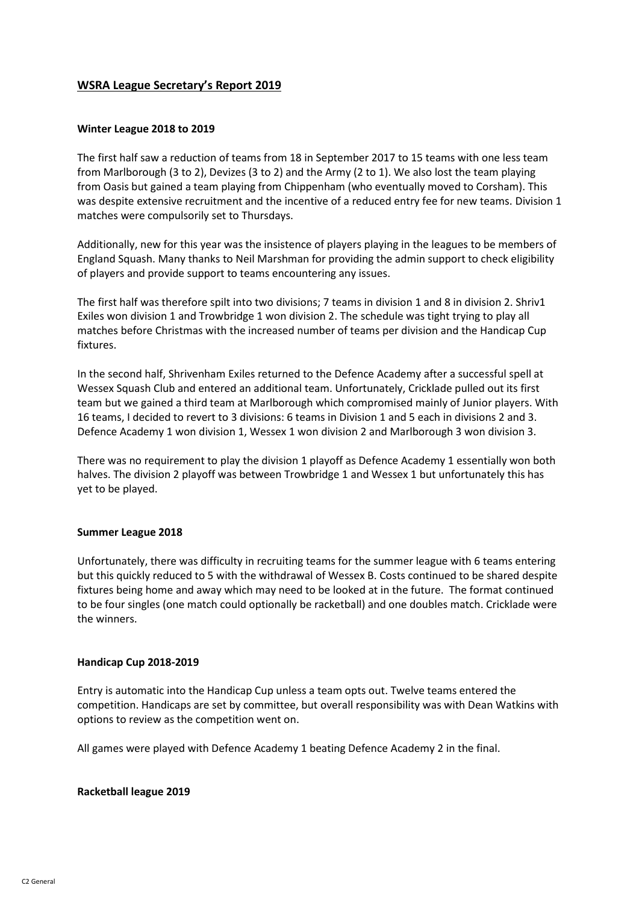# **WSRA League Secretary's Report 2019**

### **Winter League 2018 to 2019**

The first half saw a reduction of teams from 18 in September 2017 to 15 teams with one less team from Marlborough (3 to 2), Devizes (3 to 2) and the Army (2 to 1). We also lost the team playing from Oasis but gained a team playing from Chippenham (who eventually moved to Corsham). This was despite extensive recruitment and the incentive of a reduced entry fee for new teams. Division 1 matches were compulsorily set to Thursdays.

Additionally, new for this year was the insistence of players playing in the leagues to be members of England Squash. Many thanks to Neil Marshman for providing the admin support to check eligibility of players and provide support to teams encountering any issues.

The first half was therefore spilt into two divisions; 7 teams in division 1 and 8 in division 2. Shriv1 Exiles won division 1 and Trowbridge 1 won division 2. The schedule was tight trying to play all matches before Christmas with the increased number of teams per division and the Handicap Cup fixtures.

In the second half, Shrivenham Exiles returned to the Defence Academy after a successful spell at Wessex Squash Club and entered an additional team. Unfortunately, Cricklade pulled out its first team but we gained a third team at Marlborough which compromised mainly of Junior players. With 16 teams, I decided to revert to 3 divisions: 6 teams in Division 1 and 5 each in divisions 2 and 3. Defence Academy 1 won division 1, Wessex 1 won division 2 and Marlborough 3 won division 3.

There was no requirement to play the division 1 playoff as Defence Academy 1 essentially won both halves. The division 2 playoff was between Trowbridge 1 and Wessex 1 but unfortunately this has yet to be played.

#### **Summer League 2018**

Unfortunately, there was difficulty in recruiting teams for the summer league with 6 teams entering but this quickly reduced to 5 with the withdrawal of Wessex B. Costs continued to be shared despite fixtures being home and away which may need to be looked at in the future. The format continued to be four singles (one match could optionally be racketball) and one doubles match. Cricklade were the winners.

#### **Handicap Cup 2018-2019**

Entry is automatic into the Handicap Cup unless a team opts out. Twelve teams entered the competition. Handicaps are set by committee, but overall responsibility was with Dean Watkins with options to review as the competition went on.

All games were played with Defence Academy 1 beating Defence Academy 2 in the final.

#### **Racketball league 2019**